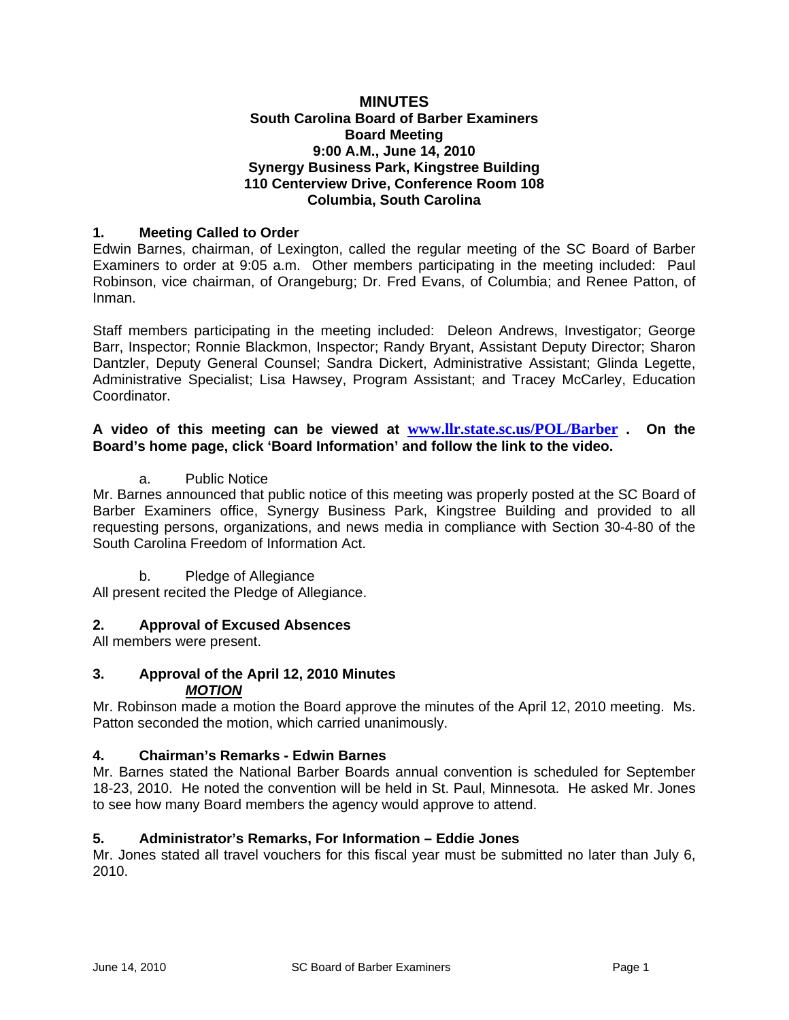#### **MINUTES South Carolina Board of Barber Examiners Board Meeting 9:00 A.M., June 14, 2010 Synergy Business Park, Kingstree Building 110 Centerview Drive, Conference Room 108 Columbia, South Carolina**

# **1. Meeting Called to Order**

Edwin Barnes, chairman, of Lexington, called the regular meeting of the SC Board of Barber Examiners to order at 9:05 a.m. Other members participating in the meeting included: Paul Robinson, vice chairman, of Orangeburg; Dr. Fred Evans, of Columbia; and Renee Patton, of Inman.

Staff members participating in the meeting included: Deleon Andrews, Investigator; George Barr, Inspector; Ronnie Blackmon, Inspector; Randy Bryant, Assistant Deputy Director; Sharon Dantzler, Deputy General Counsel; Sandra Dickert, Administrative Assistant; Glinda Legette, Administrative Specialist; Lisa Hawsey, Program Assistant; and Tracey McCarley, Education Coordinator.

#### **A video of this meeting can be viewed at www.llr.state.sc.us/POL/Barber . On the Board's home page, click 'Board Information' and follow the link to the video.**

## a. Public Notice

Mr. Barnes announced that public notice of this meeting was properly posted at the SC Board of Barber Examiners office, Synergy Business Park, Kingstree Building and provided to all requesting persons, organizations, and news media in compliance with Section 30-4-80 of the South Carolina Freedom of Information Act.

b. Pledge of Allegiance

All present recited the Pledge of Allegiance.

## **2. Approval of Excused Absences**

All members were present.

## **3. Approval of the April 12, 2010 Minutes**  *MOTION*

Mr. Robinson made a motion the Board approve the minutes of the April 12, 2010 meeting. Ms. Patton seconded the motion, which carried unanimously.

## **4. Chairman's Remarks - Edwin Barnes**

Mr. Barnes stated the National Barber Boards annual convention is scheduled for September 18-23, 2010. He noted the convention will be held in St. Paul, Minnesota. He asked Mr. Jones to see how many Board members the agency would approve to attend.

## **5. Administrator's Remarks, For Information – Eddie Jones**

Mr. Jones stated all travel vouchers for this fiscal year must be submitted no later than July 6, 2010.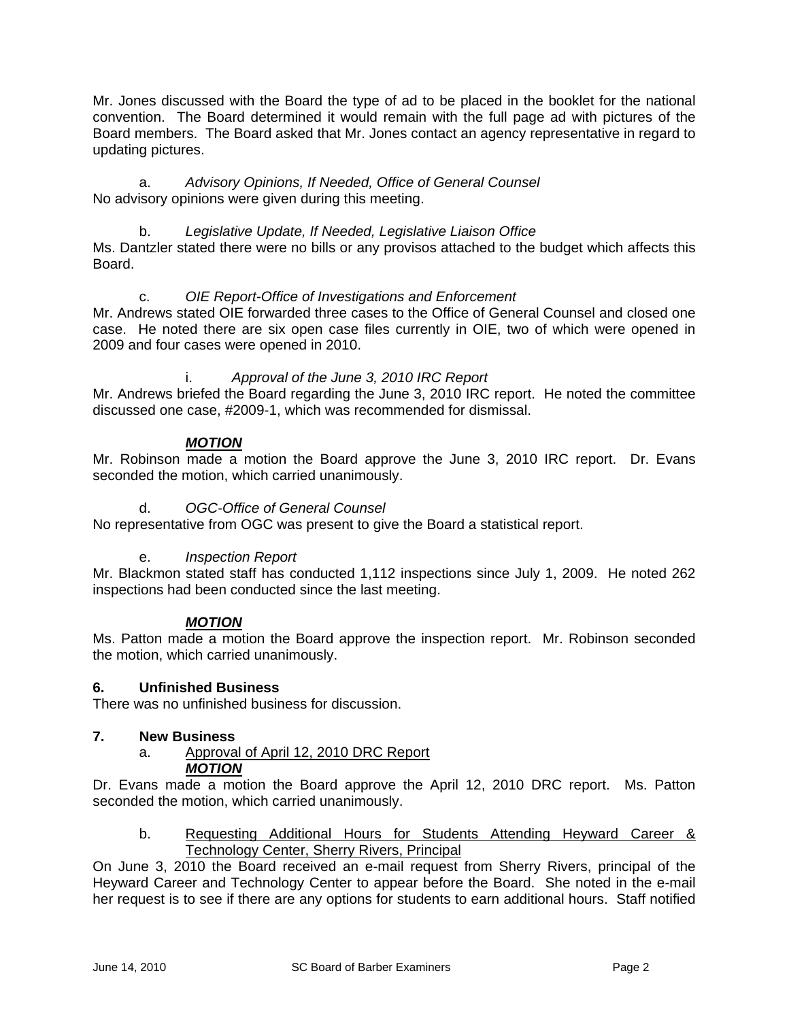Mr. Jones discussed with the Board the type of ad to be placed in the booklet for the national convention. The Board determined it would remain with the full page ad with pictures of the Board members. The Board asked that Mr. Jones contact an agency representative in regard to updating pictures.

a. *Advisory Opinions, If Needed, Office of General Counsel* No advisory opinions were given during this meeting.

b. *Legislative Update, If Needed, Legislative Liaison Office* Ms. Dantzler stated there were no bills or any provisos attached to the budget which affects this Board.

## c. *OIE Report-Office of Investigations and Enforcement*

Mr. Andrews stated OIE forwarded three cases to the Office of General Counsel and closed one case. He noted there are six open case files currently in OIE, two of which were opened in 2009 and four cases were opened in 2010.

# i. *Approval of the June 3, 2010 IRC Report*

Mr. Andrews briefed the Board regarding the June 3, 2010 IRC report. He noted the committee discussed one case, #2009-1, which was recommended for dismissal.

# *MOTION*

Mr. Robinson made a motion the Board approve the June 3, 2010 IRC report. Dr. Evans seconded the motion, which carried unanimously.

# d. *OGC-Office of General Counsel*

No representative from OGC was present to give the Board a statistical report.

# e. *Inspection Report*

Mr. Blackmon stated staff has conducted 1,112 inspections since July 1, 2009. He noted 262 inspections had been conducted since the last meeting.

## *MOTION*

Ms. Patton made a motion the Board approve the inspection report. Mr. Robinson seconded the motion, which carried unanimously.

## **6. Unfinished Business**

There was no unfinished business for discussion.

#### **7. New Business**

a. Approval of April 12, 2010 DRC Report *MOTION*

Dr. Evans made a motion the Board approve the April 12, 2010 DRC report. Ms. Patton seconded the motion, which carried unanimously.

b. Requesting Additional Hours for Students Attending Heyward Career & Technology Center, Sherry Rivers, Principal

On June 3, 2010 the Board received an e-mail request from Sherry Rivers, principal of the Heyward Career and Technology Center to appear before the Board. She noted in the e-mail her request is to see if there are any options for students to earn additional hours. Staff notified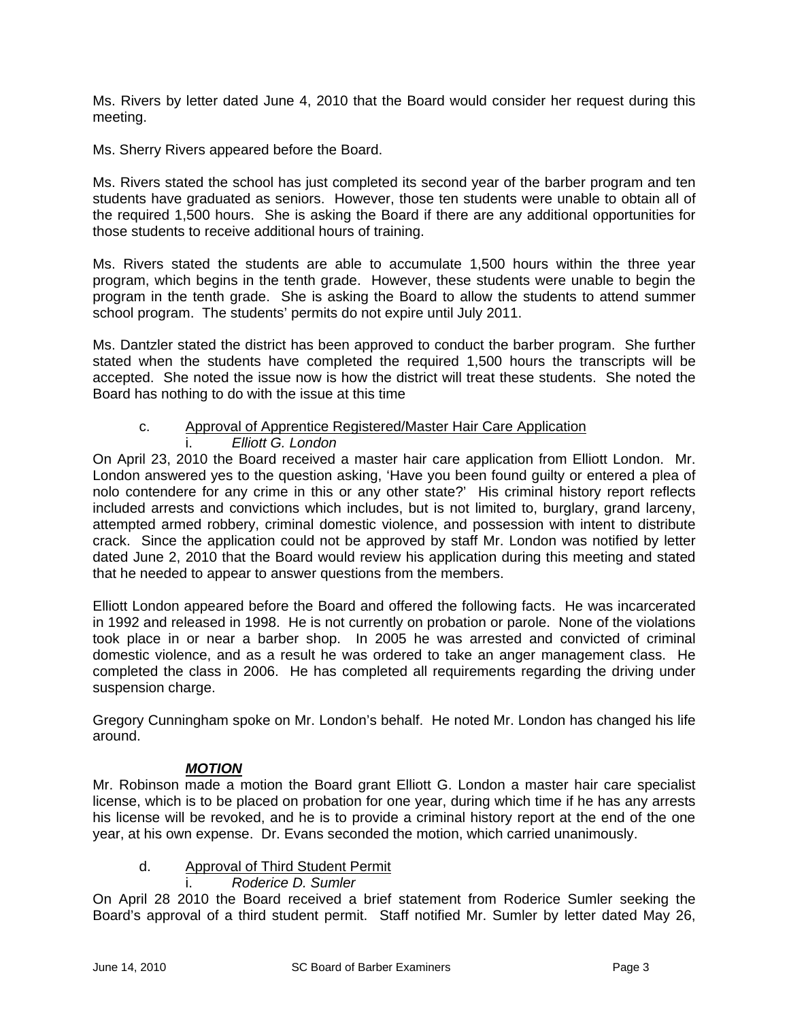Ms. Rivers by letter dated June 4, 2010 that the Board would consider her request during this meeting.

Ms. Sherry Rivers appeared before the Board.

Ms. Rivers stated the school has just completed its second year of the barber program and ten students have graduated as seniors. However, those ten students were unable to obtain all of the required 1,500 hours. She is asking the Board if there are any additional opportunities for those students to receive additional hours of training.

Ms. Rivers stated the students are able to accumulate 1,500 hours within the three year program, which begins in the tenth grade. However, these students were unable to begin the program in the tenth grade. She is asking the Board to allow the students to attend summer school program. The students' permits do not expire until July 2011.

Ms. Dantzler stated the district has been approved to conduct the barber program. She further stated when the students have completed the required 1,500 hours the transcripts will be accepted. She noted the issue now is how the district will treat these students. She noted the Board has nothing to do with the issue at this time

# c. Approval of Apprentice Registered/Master Hair Care Application

## i. *Elliott G. London*

On April 23, 2010 the Board received a master hair care application from Elliott London. Mr. London answered yes to the question asking, 'Have you been found guilty or entered a plea of nolo contendere for any crime in this or any other state?' His criminal history report reflects included arrests and convictions which includes, but is not limited to, burglary, grand larceny, attempted armed robbery, criminal domestic violence, and possession with intent to distribute crack. Since the application could not be approved by staff Mr. London was notified by letter dated June 2, 2010 that the Board would review his application during this meeting and stated that he needed to appear to answer questions from the members.

Elliott London appeared before the Board and offered the following facts. He was incarcerated in 1992 and released in 1998. He is not currently on probation or parole. None of the violations took place in or near a barber shop. In 2005 he was arrested and convicted of criminal domestic violence, and as a result he was ordered to take an anger management class. He completed the class in 2006. He has completed all requirements regarding the driving under suspension charge.

Gregory Cunningham spoke on Mr. London's behalf. He noted Mr. London has changed his life around.

## *MOTION*

Mr. Robinson made a motion the Board grant Elliott G. London a master hair care specialist license, which is to be placed on probation for one year, during which time if he has any arrests his license will be revoked, and he is to provide a criminal history report at the end of the one year, at his own expense. Dr. Evans seconded the motion, which carried unanimously.

## d. Approval of Third Student Permit

i. *Roderice D. Sumler*

On April 28 2010 the Board received a brief statement from Roderice Sumler seeking the Board's approval of a third student permit. Staff notified Mr. Sumler by letter dated May 26,